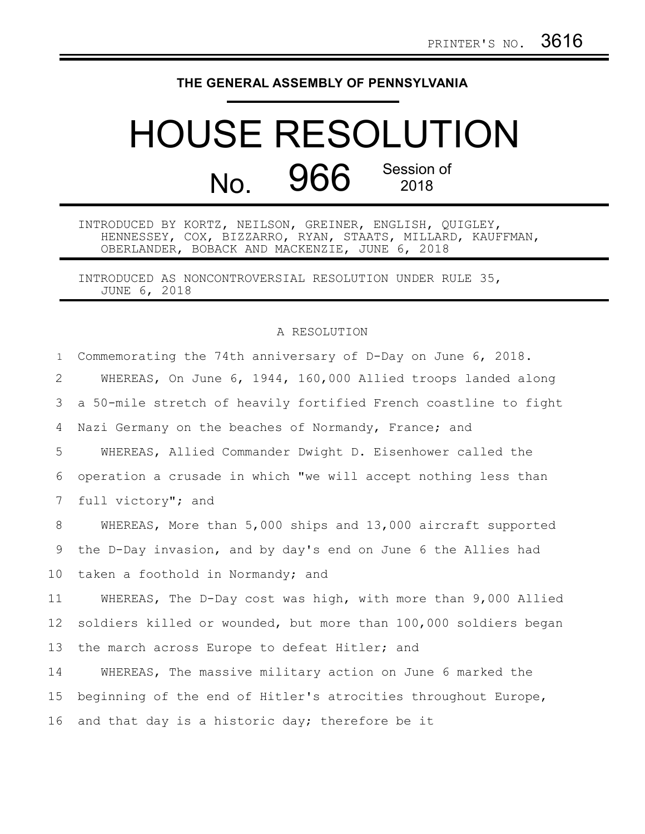## **THE GENERAL ASSEMBLY OF PENNSYLVANIA**

## HOUSE RESOLUTION No. 966 Session of

INTRODUCED BY KORTZ, NEILSON, GREINER, ENGLISH, QUIGLEY, HENNESSEY, COX, BIZZARRO, RYAN, STAATS, MILLARD, KAUFFMAN, OBERLANDER, BOBACK AND MACKENZIE, JUNE 6, 2018

INTRODUCED AS NONCONTROVERSIAL RESOLUTION UNDER RULE 35, JUNE 6, 2018

## A RESOLUTION

| $\mathbf{1}$    | Commemorating the 74th anniversary of D-Day on June 6, 2018.     |
|-----------------|------------------------------------------------------------------|
| 2               | WHEREAS, On June 6, 1944, 160,000 Allied troops landed along     |
| 3               | a 50-mile stretch of heavily fortified French coastline to fight |
| 4               | Nazi Germany on the beaches of Normandy, France; and             |
| 5               | WHEREAS, Allied Commander Dwight D. Eisenhower called the        |
| 6               | operation a crusade in which "we will accept nothing less than   |
| $7\phantom{.0}$ | full victory"; and                                               |
| 8               | WHEREAS, More than 5,000 ships and 13,000 aircraft supported     |
| 9               | the D-Day invasion, and by day's end on June 6 the Allies had    |
| 10              | taken a foothold in Normandy; and                                |
| 11              | WHEREAS, The D-Day cost was high, with more than 9,000 Allied    |
| 12              | soldiers killed or wounded, but more than 100,000 soldiers began |
| 13              | the march across Europe to defeat Hitler; and                    |
| 14              | WHEREAS, The massive military action on June 6 marked the        |
| 15 <sub>1</sub> | beginning of the end of Hitler's atrocities throughout Europe,   |
| 16              | and that day is a historic day; therefore be it                  |